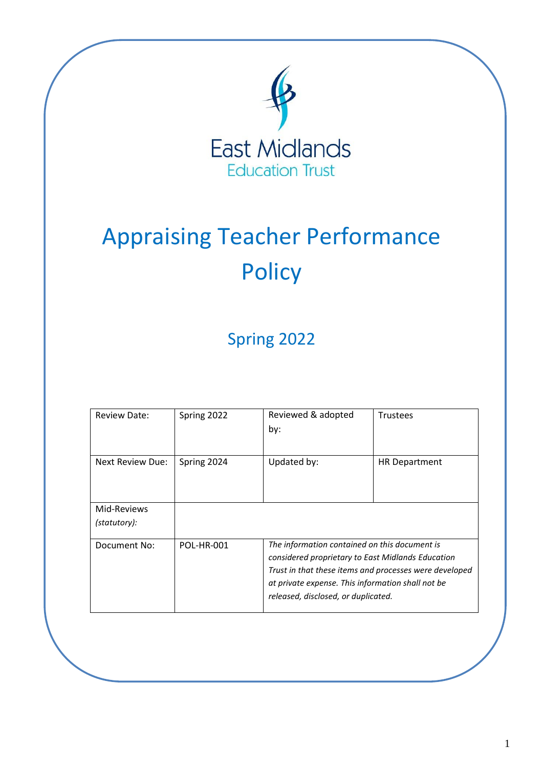

# Appraising Teacher Performance **Policy**

# Spring 2022

| <b>Review Date:</b>     | Spring 2022       | Reviewed & adopted<br>by:                              | <b>Trustees</b>      |  |  |  |
|-------------------------|-------------------|--------------------------------------------------------|----------------------|--|--|--|
| <b>Next Review Due:</b> | Spring 2024       | Updated by:                                            | <b>HR Department</b> |  |  |  |
| Mid-Reviews             |                   |                                                        |                      |  |  |  |
| (statutory):            |                   |                                                        |                      |  |  |  |
| Document No:            | <b>POL-HR-001</b> | The information contained on this document is          |                      |  |  |  |
|                         |                   | considered proprietary to East Midlands Education      |                      |  |  |  |
|                         |                   | Trust in that these items and processes were developed |                      |  |  |  |
|                         |                   | at private expense. This information shall not be      |                      |  |  |  |
|                         |                   | released, disclosed, or duplicated.                    |                      |  |  |  |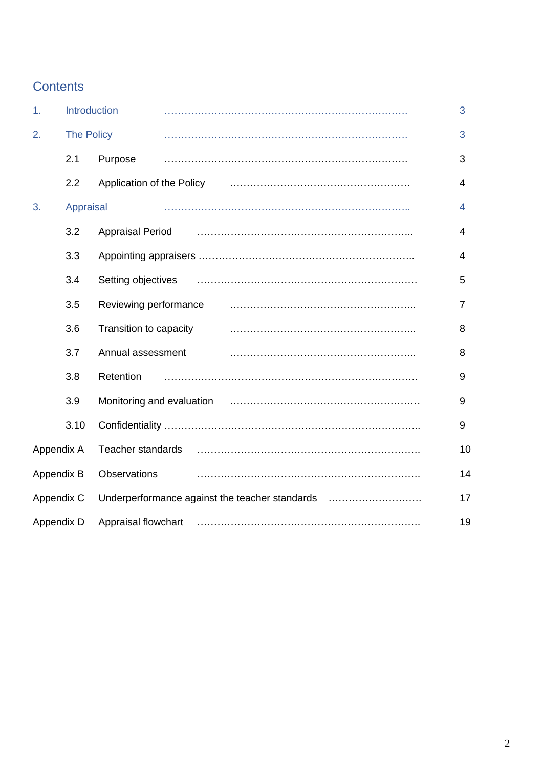# **Contents**

| 1.                      | Introduction |                           |  |                                                | 3              |
|-------------------------|--------------|---------------------------|--|------------------------------------------------|----------------|
| 2.<br><b>The Policy</b> |              |                           |  |                                                | 3              |
|                         | 2.1          | Purpose                   |  |                                                | 3              |
|                         | 2.2          | Application of the Policy |  |                                                | 4              |
| 3.                      | Appraisal    |                           |  |                                                | $\overline{4}$ |
|                         | 3.2          | <b>Appraisal Period</b>   |  |                                                | 4              |
|                         | 3.3          |                           |  |                                                | 4              |
|                         | 3.4          | Setting objectives        |  |                                                | 5              |
|                         | 3.5          | Reviewing performance     |  |                                                | 7              |
|                         | 3.6          | Transition to capacity    |  |                                                | 8              |
|                         | 3.7          | Annual assessment         |  |                                                | 8              |
|                         | 3.8          | Retention                 |  |                                                | 9              |
|                         | 3.9          |                           |  |                                                | 9              |
|                         | 3.10         |                           |  |                                                | 9              |
| Appendix A              |              | Teacher standards         |  |                                                | 10             |
| Appendix B              |              | Observations              |  |                                                | 14             |
| Appendix C              |              |                           |  | Underperformance against the teacher standards | 17             |
| Appendix D              |              | Appraisal flowchart       |  |                                                | 19             |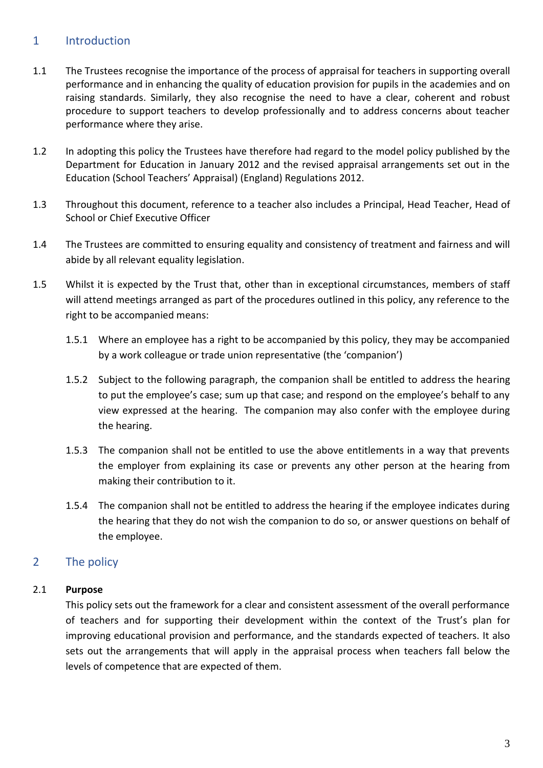# 1 Introduction

- 1.1 The Trustees recognise the importance of the process of appraisal for teachers in supporting overall performance and in enhancing the quality of education provision for pupils in the academies and on raising standards. Similarly, they also recognise the need to have a clear, coherent and robust procedure to support teachers to develop professionally and to address concerns about teacher performance where they arise.
- 1.2 In adopting this policy the Trustees have therefore had regard to the model policy published by the Department for Education in January 2012 and the revised appraisal arrangements set out in the Education (School Teachers' Appraisal) (England) Regulations 2012.
- 1.3 Throughout this document, reference to a teacher also includes a Principal, Head Teacher, Head of School or Chief Executive Officer
- 1.4 The Trustees are committed to ensuring equality and consistency of treatment and fairness and will abide by all relevant equality legislation.
- 1.5 Whilst it is expected by the Trust that, other than in exceptional circumstances, members of staff will attend meetings arranged as part of the procedures outlined in this policy, any reference to the right to be accompanied means:
	- 1.5.1 Where an employee has a right to be accompanied by this policy, they may be accompanied by a work colleague or trade union representative (the 'companion')
	- 1.5.2 Subject to the following paragraph, the companion shall be entitled to address the hearing to put the employee's case; sum up that case; and respond on the employee's behalf to any view expressed at the hearing. The companion may also confer with the employee during the hearing.
	- 1.5.3 The companion shall not be entitled to use the above entitlements in a way that prevents the employer from explaining its case or prevents any other person at the hearing from making their contribution to it.
	- 1.5.4 The companion shall not be entitled to address the hearing if the employee indicates during the hearing that they do not wish the companion to do so, or answer questions on behalf of the employee.

# 2 The policy

# 2.1 **Purpose**

This policy sets out the framework for a clear and consistent assessment of the overall performance of teachers and for supporting their development within the context of the Trust's plan for improving educational provision and performance, and the standards expected of teachers. It also sets out the arrangements that will apply in the appraisal process when teachers fall below the levels of competence that are expected of them.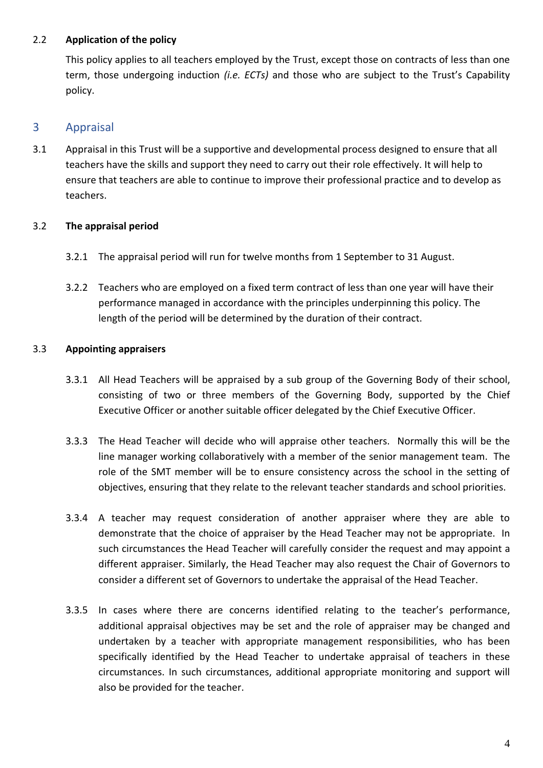#### 2.2 **Application of the policy**

This policy applies to all teachers employed by the Trust, except those on contracts of less than one term, those undergoing induction *(i.e. ECTs)* and those who are subject to the Trust's Capability policy.

# 3 Appraisal

3.1 Appraisal in this Trust will be a supportive and developmental process designed to ensure that all teachers have the skills and support they need to carry out their role effectively. It will help to ensure that teachers are able to continue to improve their professional practice and to develop as teachers.

# 3.2 **The appraisal period**

- 3.2.1 The appraisal period will run for twelve months from 1 September to 31 August.
- 3.2.2 Teachers who are employed on a fixed term contract of less than one year will have their performance managed in accordance with the principles underpinning this policy. The length of the period will be determined by the duration of their contract.

#### 3.3 **Appointing appraisers**

- 3.3.1 All Head Teachers will be appraised by a sub group of the Governing Body of their school, consisting of two or three members of the Governing Body, supported by the Chief Executive Officer or another suitable officer delegated by the Chief Executive Officer.
- 3.3.3 The Head Teacher will decide who will appraise other teachers. Normally this will be the line manager working collaboratively with a member of the senior management team. The role of the SMT member will be to ensure consistency across the school in the setting of objectives, ensuring that they relate to the relevant teacher standards and school priorities.
- 3.3.4 A teacher may request consideration of another appraiser where they are able to demonstrate that the choice of appraiser by the Head Teacher may not be appropriate. In such circumstances the Head Teacher will carefully consider the request and may appoint a different appraiser. Similarly, the Head Teacher may also request the Chair of Governors to consider a different set of Governors to undertake the appraisal of the Head Teacher.
- 3.3.5 In cases where there are concerns identified relating to the teacher's performance, additional appraisal objectives may be set and the role of appraiser may be changed and undertaken by a teacher with appropriate management responsibilities, who has been specifically identified by the Head Teacher to undertake appraisal of teachers in these circumstances. In such circumstances, additional appropriate monitoring and support will also be provided for the teacher.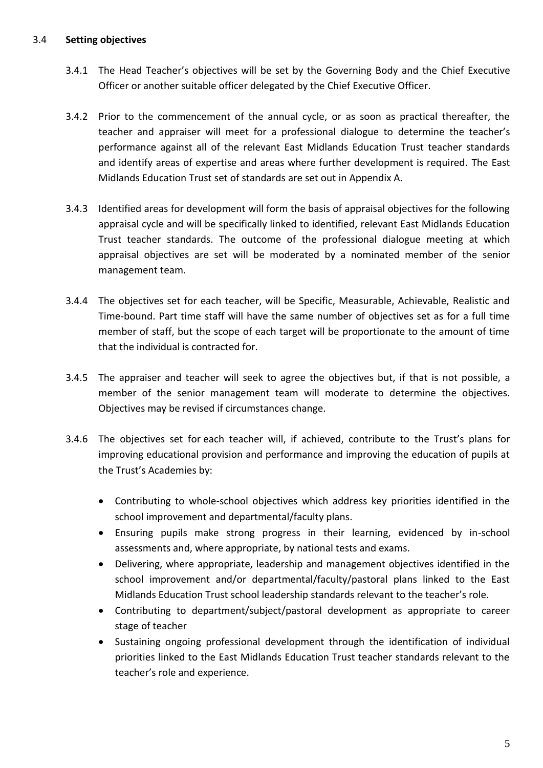#### 3.4 **Setting objectives**

- 3.4.1 The Head Teacher's objectives will be set by the Governing Body and the Chief Executive Officer or another suitable officer delegated by the Chief Executive Officer.
- 3.4.2 Prior to the commencement of the annual cycle, or as soon as practical thereafter, the teacher and appraiser will meet for a professional dialogue to determine the teacher's performance against all of the relevant East Midlands Education Trust teacher standards and identify areas of expertise and areas where further development is required. The East Midlands Education Trust set of standards are set out in Appendix A.
- 3.4.3 Identified areas for development will form the basis of appraisal objectives for the following appraisal cycle and will be specifically linked to identified, relevant East Midlands Education Trust teacher standards. The outcome of the professional dialogue meeting at which appraisal objectives are set will be moderated by a nominated member of the senior management team.
- 3.4.4 The objectives set for each teacher, will be Specific, Measurable, Achievable, Realistic and Time-bound. Part time staff will have the same number of objectives set as for a full time member of staff, but the scope of each target will be proportionate to the amount of time that the individual is contracted for.
- 3.4.5 The appraiser and teacher will seek to agree the objectives but, if that is not possible, a member of the senior management team will moderate to determine the objectives. Objectives may be revised if circumstances change.
- 3.4.6 The objectives set for each teacher will, if achieved, contribute to the Trust's plans for improving educational provision and performance and improving the education of pupils at the Trust's Academies by:
	- Contributing to whole-school objectives which address key priorities identified in the school improvement and departmental/faculty plans.
	- Ensuring pupils make strong progress in their learning, evidenced by in-school assessments and, where appropriate, by national tests and exams.
	- Delivering, where appropriate, leadership and management objectives identified in the school improvement and/or departmental/faculty/pastoral plans linked to the East Midlands Education Trust school leadership standards relevant to the teacher's role.
	- Contributing to department/subject/pastoral development as appropriate to career stage of teacher
	- Sustaining ongoing professional development through the identification of individual priorities linked to the East Midlands Education Trust teacher standards relevant to the teacher's role and experience.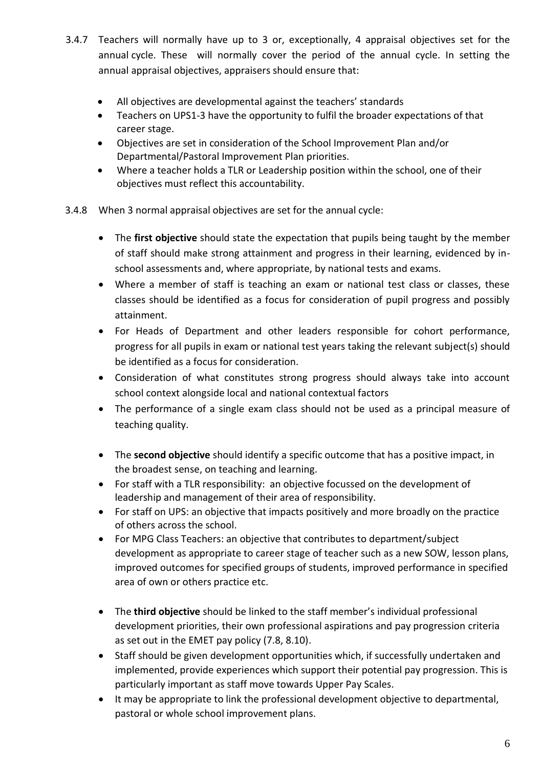- 3.4.7 Teachers will normally have up to 3 or, exceptionally, 4 appraisal objectives set for the annual cycle. These will normally cover the period of the annual cycle. In setting the annual appraisal objectives, appraisers should ensure that:
	- All objectives are developmental against the teachers' standards
	- Teachers on UPS1-3 have the opportunity to fulfil the broader expectations of that career stage.
	- Objectives are set in consideration of the School Improvement Plan and/or Departmental/Pastoral Improvement Plan priorities.
	- Where a teacher holds a TLR or Leadership position within the school, one of their objectives must reflect this accountability.
- 3.4.8 When 3 normal appraisal objectives are set for the annual cycle:
	- The **first objective** should state the expectation that pupils being taught by the member of staff should make strong attainment and progress in their learning, evidenced by inschool assessments and, where appropriate, by national tests and exams.
	- Where a member of staff is teaching an exam or national test class or classes, these classes should be identified as a focus for consideration of pupil progress and possibly attainment.
	- For Heads of Department and other leaders responsible for cohort performance, progress for all pupils in exam or national test years taking the relevant subject(s) should be identified as a focus for consideration.
	- Consideration of what constitutes strong progress should always take into account school context alongside local and national contextual factors
	- The performance of a single exam class should not be used as a principal measure of teaching quality.
	- The **second objective** should identify a specific outcome that has a positive impact, in the broadest sense, on teaching and learning.
	- For staff with a TLR responsibility: an objective focussed on the development of leadership and management of their area of responsibility.
	- For staff on UPS: an objective that impacts positively and more broadly on the practice of others across the school.
	- For MPG Class Teachers: an objective that contributes to department/subject development as appropriate to career stage of teacher such as a new SOW, lesson plans, improved outcomes for specified groups of students, improved performance in specified area of own or others practice etc.
	- The **third objective** should be linked to the staff member's individual professional development priorities, their own professional aspirations and pay progression criteria as set out in the EMET pay policy (7.8, 8.10).
	- Staff should be given development opportunities which, if successfully undertaken and implemented, provide experiences which support their potential pay progression. This is particularly important as staff move towards Upper Pay Scales.
	- It may be appropriate to link the professional development objective to departmental, pastoral or whole school improvement plans.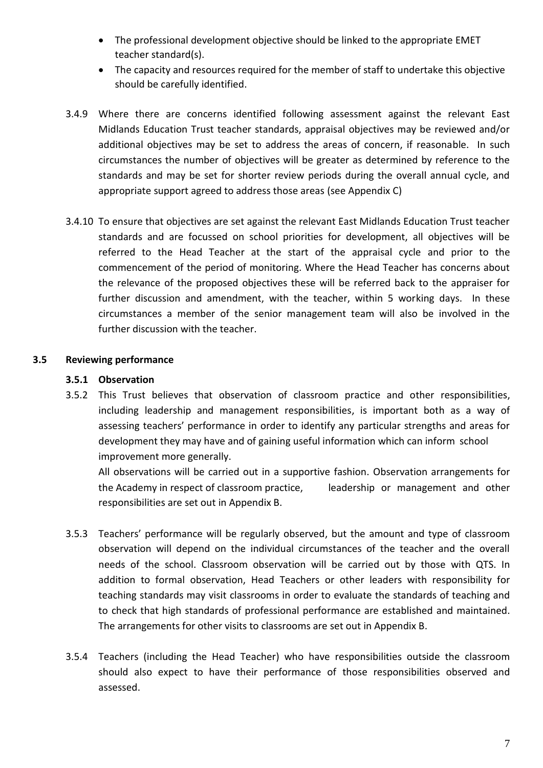- The professional development objective should be linked to the appropriate EMET teacher standard(s).
- The capacity and resources required for the member of staff to undertake this objective should be carefully identified.
- 3.4.9 Where there are concerns identified following assessment against the relevant East Midlands Education Trust teacher standards, appraisal objectives may be reviewed and/or additional objectives may be set to address the areas of concern, if reasonable. In such circumstances the number of objectives will be greater as determined by reference to the standards and may be set for shorter review periods during the overall annual cycle, and appropriate support agreed to address those areas (see Appendix C)
- 3.4.10 To ensure that objectives are set against the relevant East Midlands Education Trust teacher standards and are focussed on school priorities for development, all objectives will be referred to the Head Teacher at the start of the appraisal cycle and prior to the commencement of the period of monitoring. Where the Head Teacher has concerns about the relevance of the proposed objectives these will be referred back to the appraiser for further discussion and amendment, with the teacher, within 5 working days. In these circumstances a member of the senior management team will also be involved in the further discussion with the teacher.

#### **3.5 Reviewing performance**

#### **3.5.1 Observation**

3.5.2 This Trust believes that observation of classroom practice and other responsibilities, including leadership and management responsibilities, is important both as a way of assessing teachers' performance in order to identify any particular strengths and areas for development they may have and of gaining useful information which can inform school improvement more generally.

All observations will be carried out in a supportive fashion. Observation arrangements for the Academy in respect of classroom practice, leadership or management and other responsibilities are set out in Appendix B.

- 3.5.3 Teachers' performance will be regularly observed, but the amount and type of classroom observation will depend on the individual circumstances of the teacher and the overall needs of the school. Classroom observation will be carried out by those with QTS. In addition to formal observation, Head Teachers or other leaders with responsibility for teaching standards may visit classrooms in order to evaluate the standards of teaching and to check that high standards of professional performance are established and maintained. The arrangements for other visits to classrooms are set out in Appendix B.
- 3.5.4 Teachers (including the Head Teacher) who have responsibilities outside the classroom should also expect to have their performance of those responsibilities observed and assessed.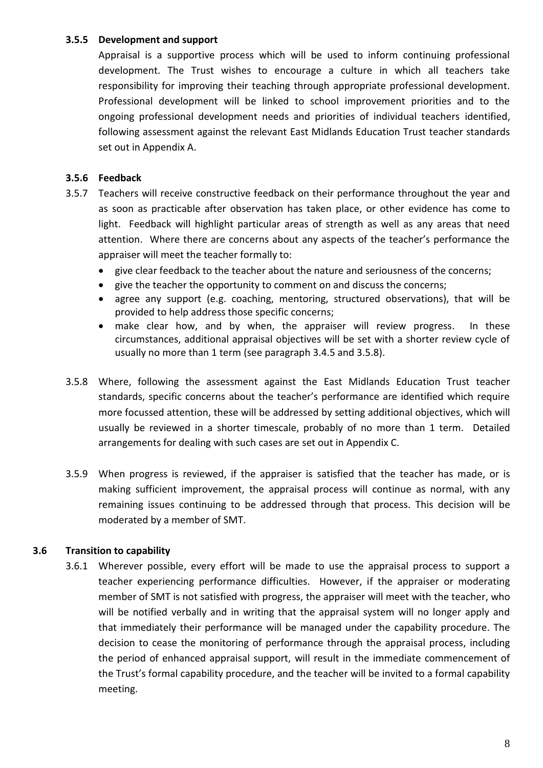#### **3.5.5 Development and support**

Appraisal is a supportive process which will be used to inform continuing professional development. The Trust wishes to encourage a culture in which all teachers take responsibility for improving their teaching through appropriate professional development. Professional development will be linked to school improvement priorities and to the ongoing professional development needs and priorities of individual teachers identified, following assessment against the relevant East Midlands Education Trust teacher standards set out in Appendix A.

#### **3.5.6 Feedback**

- 3.5.7 Teachers will receive constructive feedback on their performance throughout the year and as soon as practicable after observation has taken place, or other evidence has come to light. Feedback will highlight particular areas of strength as well as any areas that need attention. Where there are concerns about any aspects of the teacher's performance the appraiser will meet the teacher formally to:
	- give clear feedback to the teacher about the nature and seriousness of the concerns;
	- give the teacher the opportunity to comment on and discuss the concerns;
	- agree any support (e.g. coaching, mentoring, structured observations), that will be provided to help address those specific concerns;
	- make clear how, and by when, the appraiser will review progress. In these circumstances, additional appraisal objectives will be set with a shorter review cycle of usually no more than 1 term (see paragraph 3.4.5 and 3.5.8).
- 3.5.8 Where, following the assessment against the East Midlands Education Trust teacher standards, specific concerns about the teacher's performance are identified which require more focussed attention, these will be addressed by setting additional objectives, which will usually be reviewed in a shorter timescale, probably of no more than 1 term. Detailed arrangements for dealing with such cases are set out in Appendix C.
- 3.5.9 When progress is reviewed, if the appraiser is satisfied that the teacher has made, or is making sufficient improvement, the appraisal process will continue as normal, with any remaining issues continuing to be addressed through that process. This decision will be moderated by a member of SMT.

#### **3.6 Transition to capability**

3.6.1 Wherever possible, every effort will be made to use the appraisal process to support a teacher experiencing performance difficulties. However, if the appraiser or moderating member of SMT is not satisfied with progress, the appraiser will meet with the teacher, who will be notified verbally and in writing that the appraisal system will no longer apply and that immediately their performance will be managed under the capability procedure. The decision to cease the monitoring of performance through the appraisal process, including the period of enhanced appraisal support, will result in the immediate commencement of the Trust's formal capability procedure, and the teacher will be invited to a formal capability meeting.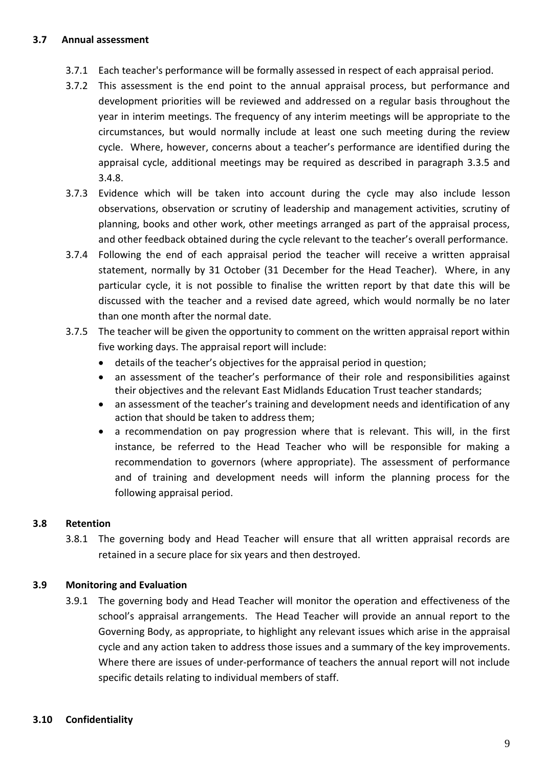#### **3.7 Annual assessment**

- 3.7.1 Each teacher's performance will be formally assessed in respect of each appraisal period.
- 3.7.2 This assessment is the end point to the annual appraisal process, but performance and development priorities will be reviewed and addressed on a regular basis throughout the year in interim meetings. The frequency of any interim meetings will be appropriate to the circumstances, but would normally include at least one such meeting during the review cycle. Where, however, concerns about a teacher's performance are identified during the appraisal cycle, additional meetings may be required as described in paragraph 3.3.5 and 3.4.8.
- 3.7.3 Evidence which will be taken into account during the cycle may also include lesson observations, observation or scrutiny of leadership and management activities, scrutiny of planning, books and other work, other meetings arranged as part of the appraisal process, and other feedback obtained during the cycle relevant to the teacher's overall performance.
- 3.7.4 Following the end of each appraisal period the teacher will receive a written appraisal statement, normally by 31 October (31 December for the Head Teacher). Where, in any particular cycle, it is not possible to finalise the written report by that date this will be discussed with the teacher and a revised date agreed, which would normally be no later than one month after the normal date.
- 3.7.5 The teacher will be given the opportunity to comment on the written appraisal report within five working days. The appraisal report will include:
	- details of the teacher's objectives for the appraisal period in question;
	- an assessment of the teacher's performance of their role and responsibilities against their objectives and the relevant East Midlands Education Trust teacher standards;
	- an assessment of the teacher's training and development needs and identification of any action that should be taken to address them;
	- a recommendation on pay progression where that is relevant. This will, in the first instance, be referred to the Head Teacher who will be responsible for making a recommendation to governors (where appropriate). The assessment of performance and of training and development needs will inform the planning process for the following appraisal period.

#### **3.8 Retention**

3.8.1 The governing body and Head Teacher will ensure that all written appraisal records are retained in a secure place for six years and then destroyed.

#### **3.9 Monitoring and Evaluation**

3.9.1 The governing body and Head Teacher will monitor the operation and effectiveness of the school's appraisal arrangements. The Head Teacher will provide an annual report to the Governing Body, as appropriate, to highlight any relevant issues which arise in the appraisal cycle and any action taken to address those issues and a summary of the key improvements. Where there are issues of under-performance of teachers the annual report will not include specific details relating to individual members of staff.

#### **3.10 Confidentiality**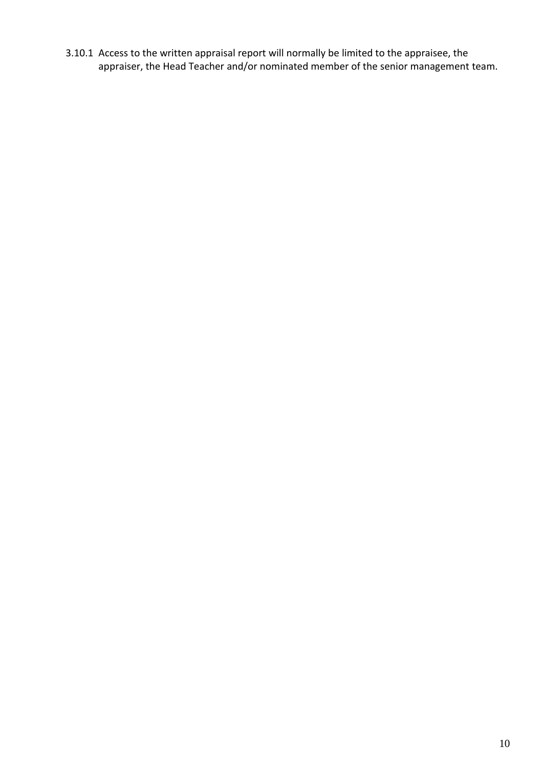3.10.1 Access to the written appraisal report will normally be limited to the appraisee, the appraiser, the Head Teacher and/or nominated member of the senior management team.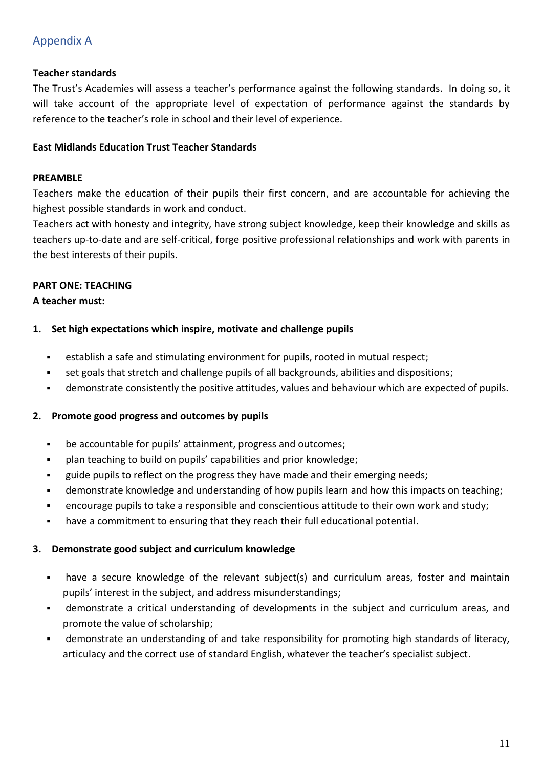# Appendix A

#### **Teacher standards**

The Trust's Academies will assess a teacher's performance against the following standards. In doing so, it will take account of the appropriate level of expectation of performance against the standards by reference to the teacher's role in school and their level of experience.

#### **East Midlands Education Trust Teacher Standards**

#### **PREAMBLE**

Teachers make the education of their pupils their first concern, and are accountable for achieving the highest possible standards in work and conduct.

Teachers act with honesty and integrity, have strong subject knowledge, keep their knowledge and skills as teachers up-to-date and are self-critical, forge positive professional relationships and work with parents in the best interests of their pupils.

#### **PART ONE: TEACHING**

#### **A teacher must:**

#### **1. Set high expectations which inspire, motivate and challenge pupils**

- establish a safe and stimulating environment for pupils, rooted in mutual respect;
- set goals that stretch and challenge pupils of all backgrounds, abilities and dispositions;
- demonstrate consistently the positive attitudes, values and behaviour which are expected of pupils.

#### **2. Promote good progress and outcomes by pupils**

- be accountable for pupils' attainment, progress and outcomes;
- plan teaching to build on pupils' capabilities and prior knowledge;
- guide pupils to reflect on the progress they have made and their emerging needs;
- demonstrate knowledge and understanding of how pupils learn and how this impacts on teaching;
- encourage pupils to take a responsible and conscientious attitude to their own work and study;
- have a commitment to ensuring that they reach their full educational potential.

#### **3. Demonstrate good subject and curriculum knowledge**

- have a secure knowledge of the relevant subject(s) and curriculum areas, foster and maintain pupils' interest in the subject, and address misunderstandings;
- demonstrate a critical understanding of developments in the subject and curriculum areas, and promote the value of scholarship;
- demonstrate an understanding of and take responsibility for promoting high standards of literacy, articulacy and the correct use of standard English, whatever the teacher's specialist subject.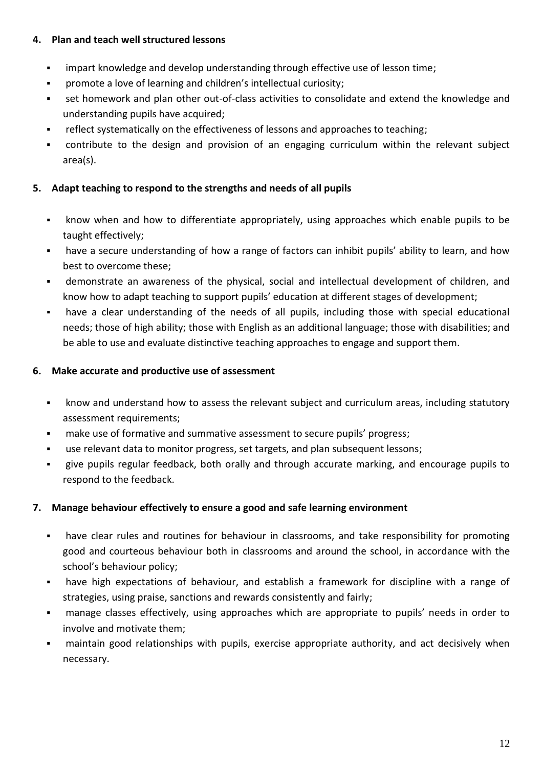#### **4. Plan and teach well structured lessons**

- impart knowledge and develop understanding through effective use of lesson time;
- promote a love of learning and children's intellectual curiosity;
- set homework and plan other out-of-class activities to consolidate and extend the knowledge and understanding pupils have acquired;
- reflect systematically on the effectiveness of lessons and approaches to teaching;
- contribute to the design and provision of an engaging curriculum within the relevant subject area(s).

#### **5. Adapt teaching to respond to the strengths and needs of all pupils**

- know when and how to differentiate appropriately, using approaches which enable pupils to be taught effectively;
- have a secure understanding of how a range of factors can inhibit pupils' ability to learn, and how best to overcome these;
- demonstrate an awareness of the physical, social and intellectual development of children, and know how to adapt teaching to support pupils' education at different stages of development;
- have a clear understanding of the needs of all pupils, including those with special educational needs; those of high ability; those with English as an additional language; those with disabilities; and be able to use and evaluate distinctive teaching approaches to engage and support them.

#### **6. Make accurate and productive use of assessment**

- know and understand how to assess the relevant subject and curriculum areas, including statutory assessment requirements;
- make use of formative and summative assessment to secure pupils' progress;
- use relevant data to monitor progress, set targets, and plan subsequent lessons;
- give pupils regular feedback, both orally and through accurate marking, and encourage pupils to respond to the feedback.

#### **7. Manage behaviour effectively to ensure a good and safe learning environment**

- have clear rules and routines for behaviour in classrooms, and take responsibility for promoting good and courteous behaviour both in classrooms and around the school, in accordance with the school's behaviour policy;
- have high expectations of behaviour, and establish a framework for discipline with a range of strategies, using praise, sanctions and rewards consistently and fairly;
- manage classes effectively, using approaches which are appropriate to pupils' needs in order to involve and motivate them;
- maintain good relationships with pupils, exercise appropriate authority, and act decisively when necessary.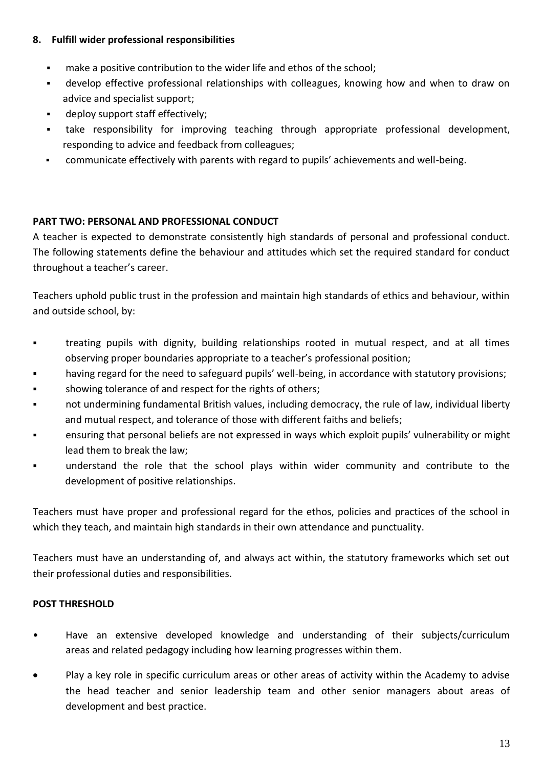#### **8. Fulfill wider professional responsibilities**

- make a positive contribution to the wider life and ethos of the school;
- develop effective professional relationships with colleagues, knowing how and when to draw on advice and specialist support;
- deploy support staff effectively;
- take responsibility for improving teaching through appropriate professional development, responding to advice and feedback from colleagues;
- communicate effectively with parents with regard to pupils' achievements and well-being.

# **PART TWO: PERSONAL AND PROFESSIONAL CONDUCT**

A teacher is expected to demonstrate consistently high standards of personal and professional conduct. The following statements define the behaviour and attitudes which set the required standard for conduct throughout a teacher's career.

Teachers uphold public trust in the profession and maintain high standards of ethics and behaviour, within and outside school, by:

- treating pupils with dignity, building relationships rooted in mutual respect, and at all times observing proper boundaries appropriate to a teacher's professional position;
- having regard for the need to safeguard pupils' well-being, in accordance with statutory provisions;
- showing tolerance of and respect for the rights of others;
- not undermining fundamental British values, including democracy, the rule of law, individual liberty and mutual respect, and tolerance of those with different faiths and beliefs;
- ensuring that personal beliefs are not expressed in ways which exploit pupils' vulnerability or might lead them to break the law;
- understand the role that the school plays within wider community and contribute to the development of positive relationships.

Teachers must have proper and professional regard for the ethos, policies and practices of the school in which they teach, and maintain high standards in their own attendance and punctuality.

Teachers must have an understanding of, and always act within, the statutory frameworks which set out their professional duties and responsibilities.

# **POST THRESHOLD**

- Have an extensive developed knowledge and understanding of their subjects/curriculum areas and related pedagogy including how learning progresses within them.
- Play a key role in specific curriculum areas or other areas of activity within the Academy to advise the head teacher and senior leadership team and other senior managers about areas of development and best practice.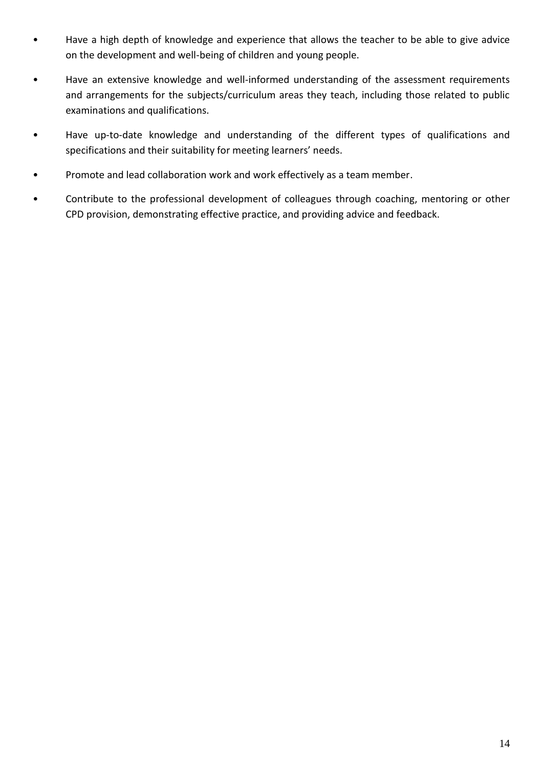- Have a high depth of knowledge and experience that allows the teacher to be able to give advice on the development and well-being of children and young people.
- Have an extensive knowledge and well-informed understanding of the assessment requirements and arrangements for the subjects/curriculum areas they teach, including those related to public examinations and qualifications.
- Have up-to-date knowledge and understanding of the different types of qualifications and specifications and their suitability for meeting learners' needs.
- Promote and lead collaboration work and work effectively as a team member.
- Contribute to the professional development of colleagues through coaching, mentoring or other CPD provision, demonstrating effective practice, and providing advice and feedback.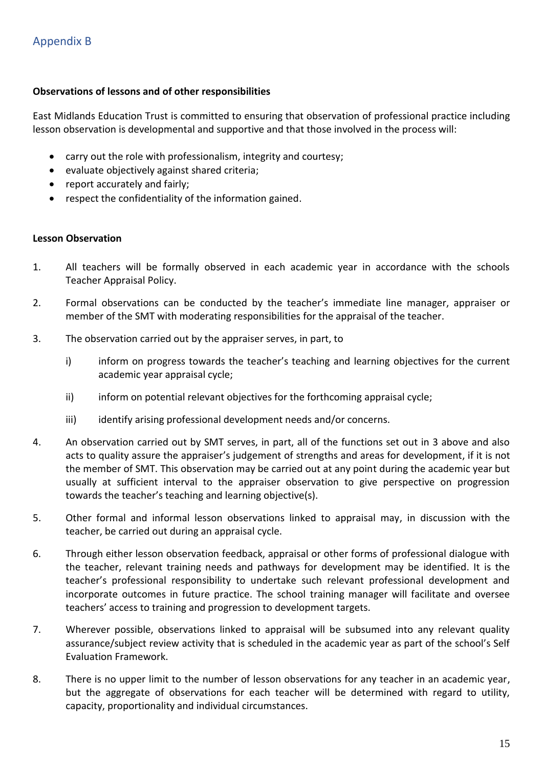#### **Observations of lessons and of other responsibilities**

East Midlands Education Trust is committed to ensuring that observation of professional practice including lesson observation is developmental and supportive and that those involved in the process will:

- carry out the role with professionalism, integrity and courtesy;
- evaluate objectively against shared criteria;
- report accurately and fairly;
- respect the confidentiality of the information gained.

#### **Lesson Observation**

- 1. All teachers will be formally observed in each academic year in accordance with the schools Teacher Appraisal Policy.
- 2. Formal observations can be conducted by the teacher's immediate line manager, appraiser or member of the SMT with moderating responsibilities for the appraisal of the teacher.
- 3. The observation carried out by the appraiser serves, in part, to
	- i) inform on progress towards the teacher's teaching and learning objectives for the current academic year appraisal cycle;
	- ii) inform on potential relevant objectives for the forthcoming appraisal cycle;
	- iii) identify arising professional development needs and/or concerns.
- 4. An observation carried out by SMT serves, in part, all of the functions set out in 3 above and also acts to quality assure the appraiser's judgement of strengths and areas for development, if it is not the member of SMT. This observation may be carried out at any point during the academic year but usually at sufficient interval to the appraiser observation to give perspective on progression towards the teacher's teaching and learning objective(s).
- 5. Other formal and informal lesson observations linked to appraisal may, in discussion with the teacher, be carried out during an appraisal cycle.
- 6. Through either lesson observation feedback, appraisal or other forms of professional dialogue with the teacher, relevant training needs and pathways for development may be identified. It is the teacher's professional responsibility to undertake such relevant professional development and incorporate outcomes in future practice. The school training manager will facilitate and oversee teachers' access to training and progression to development targets.
- 7. Wherever possible, observations linked to appraisal will be subsumed into any relevant quality assurance/subject review activity that is scheduled in the academic year as part of the school's Self Evaluation Framework.
- 8. There is no upper limit to the number of lesson observations for any teacher in an academic year, but the aggregate of observations for each teacher will be determined with regard to utility, capacity, proportionality and individual circumstances.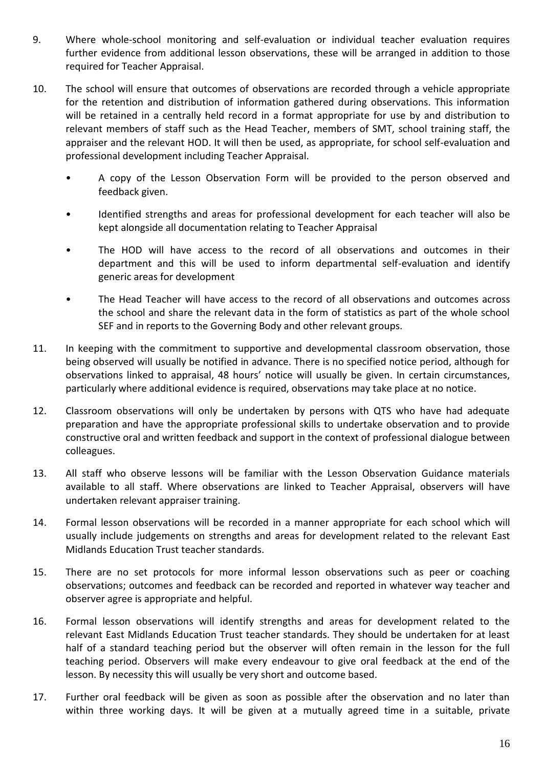- 9. Where whole-school monitoring and self-evaluation or individual teacher evaluation requires further evidence from additional lesson observations, these will be arranged in addition to those required for Teacher Appraisal.
- 10. The school will ensure that outcomes of observations are recorded through a vehicle appropriate for the retention and distribution of information gathered during observations. This information will be retained in a centrally held record in a format appropriate for use by and distribution to relevant members of staff such as the Head Teacher, members of SMT, school training staff, the appraiser and the relevant HOD. It will then be used, as appropriate, for school self-evaluation and professional development including Teacher Appraisal.
	- A copy of the Lesson Observation Form will be provided to the person observed and feedback given.
	- Identified strengths and areas for professional development for each teacher will also be kept alongside all documentation relating to Teacher Appraisal
	- The HOD will have access to the record of all observations and outcomes in their department and this will be used to inform departmental self-evaluation and identify generic areas for development
	- The Head Teacher will have access to the record of all observations and outcomes across the school and share the relevant data in the form of statistics as part of the whole school SEF and in reports to the Governing Body and other relevant groups.
- 11. In keeping with the commitment to supportive and developmental classroom observation, those being observed will usually be notified in advance. There is no specified notice period, although for observations linked to appraisal, 48 hours' notice will usually be given. In certain circumstances, particularly where additional evidence is required, observations may take place at no notice.
- 12. Classroom observations will only be undertaken by persons with QTS who have had adequate preparation and have the appropriate professional skills to undertake observation and to provide constructive oral and written feedback and support in the context of professional dialogue between colleagues.
- 13. All staff who observe lessons will be familiar with the Lesson Observation Guidance materials available to all staff. Where observations are linked to Teacher Appraisal, observers will have undertaken relevant appraiser training.
- 14. Formal lesson observations will be recorded in a manner appropriate for each school which will usually include judgements on strengths and areas for development related to the relevant East Midlands Education Trust teacher standards.
- 15. There are no set protocols for more informal lesson observations such as peer or coaching observations; outcomes and feedback can be recorded and reported in whatever way teacher and observer agree is appropriate and helpful.
- 16. Formal lesson observations will identify strengths and areas for development related to the relevant East Midlands Education Trust teacher standards. They should be undertaken for at least half of a standard teaching period but the observer will often remain in the lesson for the full teaching period. Observers will make every endeavour to give oral feedback at the end of the lesson. By necessity this will usually be very short and outcome based.
- 17. Further oral feedback will be given as soon as possible after the observation and no later than within three working days. It will be given at a mutually agreed time in a suitable, private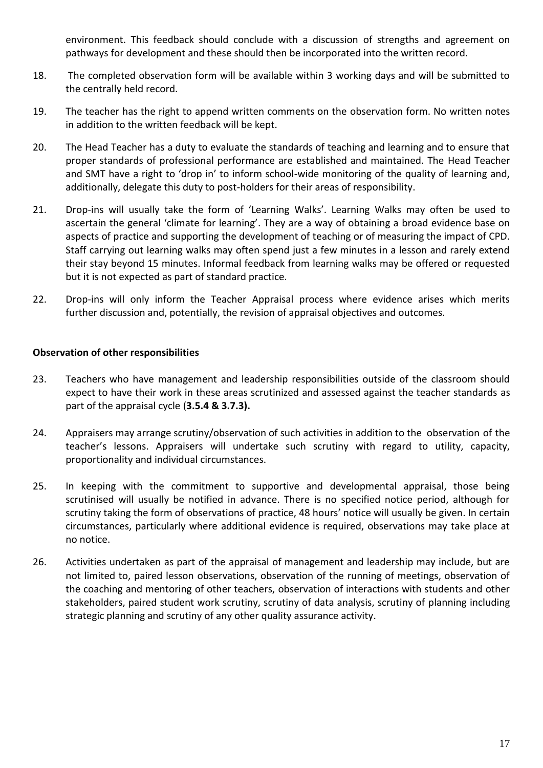environment. This feedback should conclude with a discussion of strengths and agreement on pathways for development and these should then be incorporated into the written record.

- 18. The completed observation form will be available within 3 working days and will be submitted to the centrally held record.
- 19. The teacher has the right to append written comments on the observation form. No written notes in addition to the written feedback will be kept.
- 20. The Head Teacher has a duty to evaluate the standards of teaching and learning and to ensure that proper standards of professional performance are established and maintained. The Head Teacher and SMT have a right to 'drop in' to inform school-wide monitoring of the quality of learning and, additionally, delegate this duty to post-holders for their areas of responsibility.
- 21. Drop-ins will usually take the form of 'Learning Walks'. Learning Walks may often be used to ascertain the general 'climate for learning'. They are a way of obtaining a broad evidence base on aspects of practice and supporting the development of teaching or of measuring the impact of CPD. Staff carrying out learning walks may often spend just a few minutes in a lesson and rarely extend their stay beyond 15 minutes. Informal feedback from learning walks may be offered or requested but it is not expected as part of standard practice.
- 22. Drop-ins will only inform the Teacher Appraisal process where evidence arises which merits further discussion and, potentially, the revision of appraisal objectives and outcomes.

#### **Observation of other responsibilities**

- 23. Teachers who have management and leadership responsibilities outside of the classroom should expect to have their work in these areas scrutinized and assessed against the teacher standards as part of the appraisal cycle (**3.5.4 & 3.7.3).**
- 24. Appraisers may arrange scrutiny/observation of such activities in addition to the observation of the teacher's lessons. Appraisers will undertake such scrutiny with regard to utility, capacity, proportionality and individual circumstances.
- 25. In keeping with the commitment to supportive and developmental appraisal, those being scrutinised will usually be notified in advance. There is no specified notice period, although for scrutiny taking the form of observations of practice, 48 hours' notice will usually be given. In certain circumstances, particularly where additional evidence is required, observations may take place at no notice.
- 26. Activities undertaken as part of the appraisal of management and leadership may include, but are not limited to, paired lesson observations, observation of the running of meetings, observation of the coaching and mentoring of other teachers, observation of interactions with students and other stakeholders, paired student work scrutiny, scrutiny of data analysis, scrutiny of planning including strategic planning and scrutiny of any other quality assurance activity.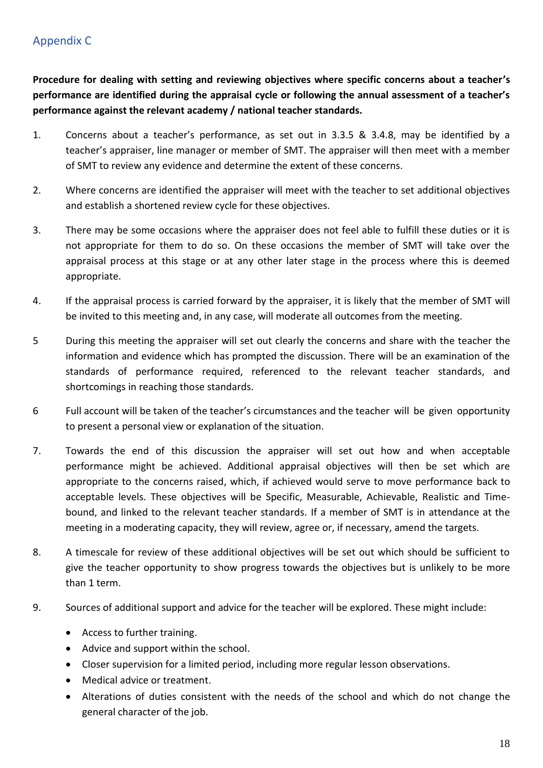# Appendix C

**Procedure for dealing with setting and reviewing objectives where specific concerns about a teacher's performance are identified during the appraisal cycle or following the annual assessment of a teacher's performance against the relevant academy / national teacher standards.**

- 1. Concerns about a teacher's performance, as set out in 3.3.5 & 3.4.8, may be identified by a teacher's appraiser, line manager or member of SMT. The appraiser will then meet with a member of SMT to review any evidence and determine the extent of these concerns.
- 2. Where concerns are identified the appraiser will meet with the teacher to set additional objectives and establish a shortened review cycle for these objectives.
- 3. There may be some occasions where the appraiser does not feel able to fulfill these duties or it is not appropriate for them to do so. On these occasions the member of SMT will take over the appraisal process at this stage or at any other later stage in the process where this is deemed appropriate.
- 4. If the appraisal process is carried forward by the appraiser, it is likely that the member of SMT will be invited to this meeting and, in any case, will moderate all outcomes from the meeting.
- 5 During this meeting the appraiser will set out clearly the concerns and share with the teacher the information and evidence which has prompted the discussion. There will be an examination of the standards of performance required, referenced to the relevant teacher standards, and shortcomings in reaching those standards.
- 6 Full account will be taken of the teacher's circumstances and the teacher will be given opportunity to present a personal view or explanation of the situation.
- 7. Towards the end of this discussion the appraiser will set out how and when acceptable performance might be achieved. Additional appraisal objectives will then be set which are appropriate to the concerns raised, which, if achieved would serve to move performance back to acceptable levels. These objectives will be Specific, Measurable, Achievable, Realistic and Timebound, and linked to the relevant teacher standards. If a member of SMT is in attendance at the meeting in a moderating capacity, they will review, agree or, if necessary, amend the targets.
- 8. A timescale for review of these additional objectives will be set out which should be sufficient to give the teacher opportunity to show progress towards the objectives but is unlikely to be more than 1 term.
- 9. Sources of additional support and advice for the teacher will be explored. These might include:
	- Access to further training.
	- Advice and support within the school.
	- Closer supervision for a limited period, including more regular lesson observations.
	- Medical advice or treatment.
	- Alterations of duties consistent with the needs of the school and which do not change the general character of the job.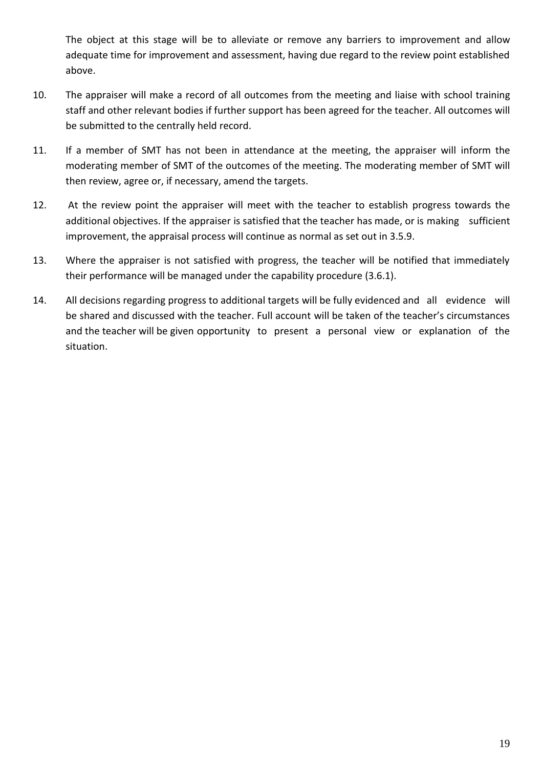The object at this stage will be to alleviate or remove any barriers to improvement and allow adequate time for improvement and assessment, having due regard to the review point established above.

- 10. The appraiser will make a record of all outcomes from the meeting and liaise with school training staff and other relevant bodies if further support has been agreed for the teacher. All outcomes will be submitted to the centrally held record.
- 11. If a member of SMT has not been in attendance at the meeting, the appraiser will inform the moderating member of SMT of the outcomes of the meeting. The moderating member of SMT will then review, agree or, if necessary, amend the targets.
- 12. At the review point the appraiser will meet with the teacher to establish progress towards the additional objectives. If the appraiser is satisfied that the teacher has made, or is making sufficient improvement, the appraisal process will continue as normal as set out in 3.5.9.
- 13. Where the appraiser is not satisfied with progress, the teacher will be notified that immediately their performance will be managed under the capability procedure (3.6.1).
- 14. All decisions regarding progress to additional targets will be fully evidenced and all evidence will be shared and discussed with the teacher. Full account will be taken of the teacher's circumstances and the teacher will be given opportunity to present a personal view or explanation of the situation.